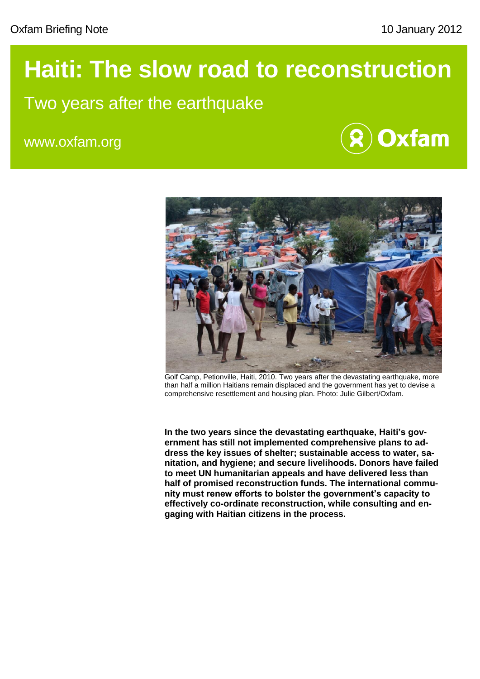# **Haiti: The slow road to reconstruction**

## Two years after the earthquake

www.oxfam.org





Golf Camp, Petionville, Haiti, 2010. Two years after the devastating earthquake, more than half a million Haitians remain displaced and the government has yet to devise a comprehensive resettlement and housing plan. Photo: Julie Gilbert/Oxfam.

**In the two years since the devastating earthquake, Haiti's government has still not implemented comprehensive plans to address the key issues of shelter; sustainable access to water, sanitation, and hygiene; and secure livelihoods. Donors have failed to meet UN humanitarian appeals and have delivered less than half of promised reconstruction funds. The international community must renew efforts to bolster the government's capacity to effectively co-ordinate reconstruction, while consulting and engaging with Haitian citizens in the process.**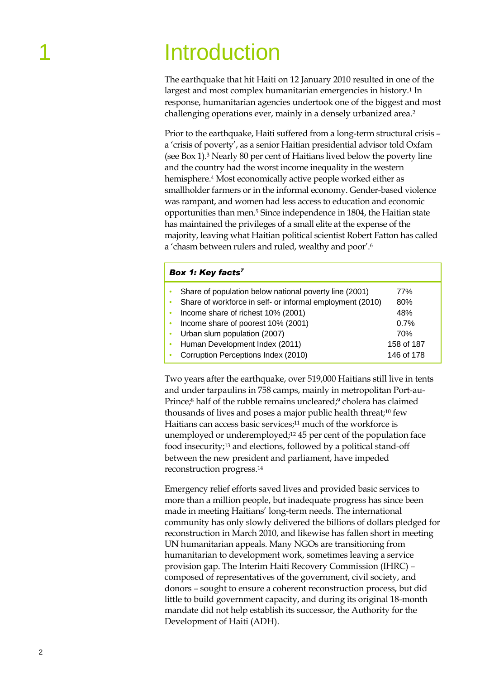## **Introduction**

The earthquake that hit Haiti on 12 January 2010 resulted in one of the largest and most complex humanitarian emergencies in history.<sup>1</sup> In response, humanitarian agencies undertook one of the biggest and most challenging operations ever, mainly in a densely urbanized area.<sup>2</sup>

Prior to the earthquake, Haiti suffered from a long-term structural crisis – a 'crisis of poverty', as a senior Haitian presidential advisor told Oxfam (see Box 1).<sup>3</sup> Nearly 80 per cent of Haitians lived below the poverty line and the country had the worst income inequality in the western hemisphere.<sup>4</sup> Most economically active people worked either as smallholder farmers or in the informal economy. Gender-based violence was rampant, and women had less access to education and economic opportunities than men.<sup>5</sup> Since independence in 1804, the Haitian state has maintained the privileges of a small elite at the expense of the majority, leaving what Haitian political scientist Robert Fatton has called a 'chasm between rulers and ruled, wealthy and poor'.<sup>6</sup>

#### *Box 1: Key facts<sup>7</sup>*

|           | Share of population below national poverty line (2001)    | 77%        |
|-----------|-----------------------------------------------------------|------------|
|           | Share of workforce in self- or informal employment (2010) | 80%        |
| $\bullet$ | Income share of richest 10% (2001)                        | 48%        |
| $\bullet$ | Income share of poorest 10% (2001)                        | 0.7%       |
|           | • Urban slum population (2007)                            | 70%        |
|           | • Human Development Index (2011)                          | 158 of 187 |
|           | Corruption Perceptions Index (2010)                       | 146 of 178 |

Two years after the earthquake, over 519,000 Haitians still live in tents and under tarpaulins in 758 camps, mainly in metropolitan Port-au-Prince; <sup>8</sup> half of the rubble remains uncleared;<sup>9</sup> cholera has claimed thousands of lives and poses a major public health threat; <sup>10</sup> few Haitians can access basic services; <sup>11</sup> much of the workforce is unemployed or underemployed; <sup>12</sup> 45 per cent of the population face food insecurity; <sup>13</sup> and elections, followed by a political stand-off between the new president and parliament, have impeded reconstruction progress. 14

Emergency relief efforts saved lives and provided basic services to more than a million people, but inadequate progress has since been made in meeting Haitians' long-term needs. The international community has only slowly delivered the billions of dollars pledged for reconstruction in March 2010, and likewise has fallen short in meeting UN humanitarian appeals. Many NGOs are transitioning from humanitarian to development work, sometimes leaving a service provision gap. The Interim Haiti Recovery Commission (IHRC) – composed of representatives of the government, civil society, and donors – sought to ensure a coherent reconstruction process, but did little to build government capacity, and during its original 18-month mandate did not help establish its successor, the Authority for the Development of Haiti (ADH).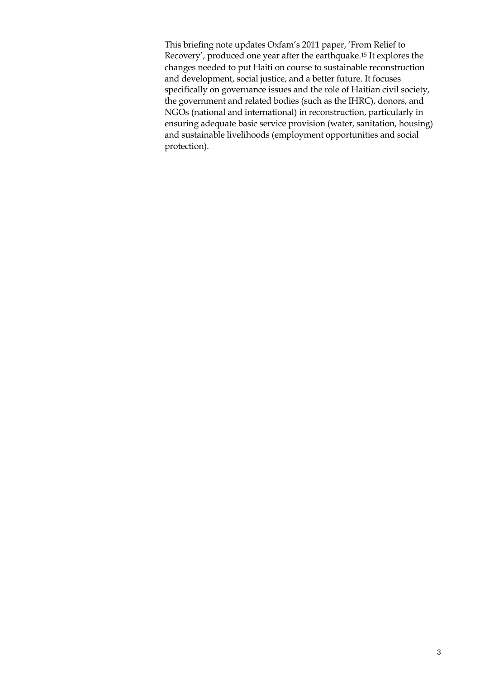This briefing note updates Oxfam's 2011 paper, 'From Relief to Recovery', produced one year after the earthquake.<sup>15</sup> It explores the changes needed to put Haiti on course to sustainable reconstruction and development, social justice, and a better future. It focuses specifically on governance issues and the role of Haitian civil society, the government and related bodies (such as the IHRC), donors, and NGOs (national and international) in reconstruction, particularly in ensuring adequate basic service provision (water, sanitation, housing) and sustainable livelihoods (employment opportunities and social protection).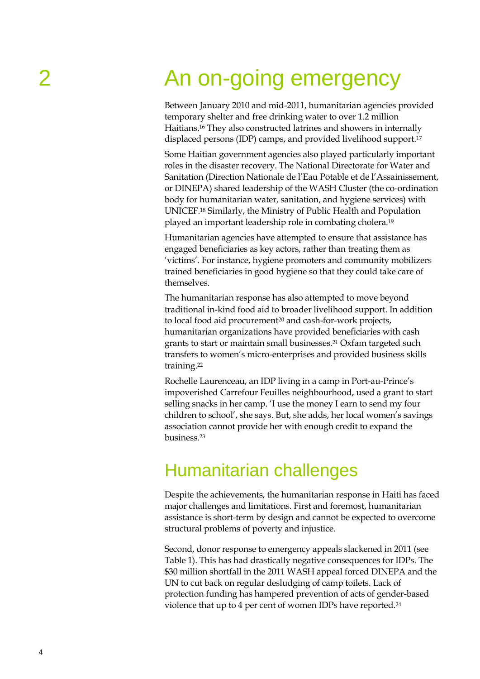# 2 An on-going emergency

Between January 2010 and mid-2011, humanitarian agencies provided temporary shelter and free drinking water to over 1.2 million Haitians. <sup>16</sup> They also constructed latrines and showers in internally displaced persons (IDP) camps, and provided livelihood support.<sup>17</sup>

Some Haitian government agencies also played particularly important roles in the disaster recovery. The National Directorate for Water and Sanitation (Direction Nationale de l'Eau Potable et de l'Assainissement, or DINEPA) shared leadership of the WASH Cluster (the co-ordination body for humanitarian water, sanitation, and hygiene services) with UNICEF.<sup>18</sup> Similarly, the Ministry of Public Health and Population played an important leadership role in combating cholera.<sup>19</sup>

Humanitarian agencies have attempted to ensure that assistance has engaged beneficiaries as key actors, rather than treating them as 'victims'. For instance, hygiene promoters and community mobilizers trained beneficiaries in good hygiene so that they could take care of themselves.

The humanitarian response has also attempted to move beyond traditional in-kind food aid to broader livelihood support. In addition to local food aid procurement<sup>20</sup> and cash-for-work projects, humanitarian organizations have provided beneficiaries with cash grants to start or maintain small businesses.<sup>21</sup> Oxfam targeted such transfers to women's micro-enterprises and provided business skills training. 22

Rochelle Laurenceau, an IDP living in a camp in Port-au-Prince's impoverished Carrefour Feuilles neighbourhood, used a grant to start selling snacks in her camp. 'I use the money I earn to send my four children to school', she says. But, she adds, her local women's savings association cannot provide her with enough credit to expand the business.<sup>23</sup>

### Humanitarian challenges

Despite the achievements, the humanitarian response in Haiti has faced major challenges and limitations. First and foremost, humanitarian assistance is short-term by design and cannot be expected to overcome structural problems of poverty and injustice.

Second, donor response to emergency appeals slackened in 2011 (see Table 1). This has had drastically negative consequences for IDPs. The \$30 million shortfall in the 2011 WASH appeal forced DINEPA and the UN to cut back on regular desludging of camp toilets. Lack of protection funding has hampered prevention of acts of gender-based violence that up to 4 per cent of women IDPs have reported. 24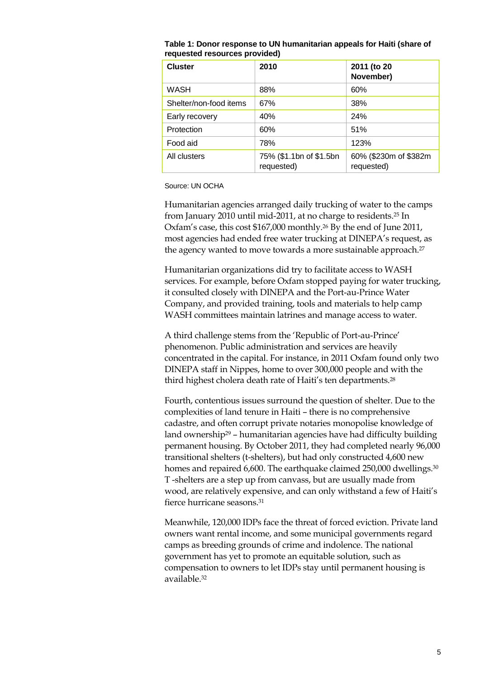| <b>Cluster</b>         | 2010                                  | 2011 (to 20<br>November)            |
|------------------------|---------------------------------------|-------------------------------------|
| <b>WASH</b>            | 88%                                   | 60%                                 |
| Shelter/non-food items | 67%                                   | 38%                                 |
| Early recovery         | 40%                                   | 24%                                 |
| Protection             | 60%                                   | 51%                                 |
| Food aid               | 78%                                   | 123%                                |
| All clusters           | 75% (\$1.1bn of \$1.5bn<br>requested) | 60% (\$230m of \$382m<br>requested) |

**Table 1: Donor response to UN humanitarian appeals for Haiti (share of requested resources provided)**

Source: UN OCHA

Humanitarian agencies arranged daily trucking of water to the camps from January 2010 until mid-2011, at no charge to residents.<sup>25</sup> In Oxfam's case, this cost \$167,000 monthly. <sup>26</sup> By the end of June 2011, most agencies had ended free water trucking at DINEPA's request, as the agency wanted to move towards a more sustainable approach.<sup>27</sup>

Humanitarian organizations did try to facilitate access to WASH services. For example, before Oxfam stopped paying for water trucking, it consulted closely with DINEPA and the Port-au-Prince Water Company, and provided training, tools and materials to help camp WASH committees maintain latrines and manage access to water.

A third challenge stems from the 'Republic of Port-au-Prince' phenomenon. Public administration and services are heavily concentrated in the capital. For instance, in 2011 Oxfam found only two DINEPA staff in Nippes, home to over 300,000 people and with the third highest cholera death rate of Haiti's ten departments.<sup>28</sup>

Fourth, contentious issues surround the question of shelter. Due to the complexities of land tenure in Haiti – there is no comprehensive cadastre, and often corrupt private notaries monopolise knowledge of land ownership<sup>29</sup> – humanitarian agencies have had difficulty building permanent housing. By October 2011, they had completed nearly 96,000 transitional shelters (t-shelters), but had only constructed 4,600 new homes and repaired 6,600. The earthquake claimed 250,000 dwellings.<sup>30</sup> T -shelters are a step up from canvass, but are usually made from wood, are relatively expensive, and can only withstand a few of Haiti's fierce hurricane seasons.<sup>31</sup>

Meanwhile, 120,000 IDPs face the threat of forced eviction. Private land owners want rental income, and some municipal governments regard camps as breeding grounds of crime and indolence. The national government has yet to promote an equitable solution, such as compensation to owners to let IDPs stay until permanent housing is available.32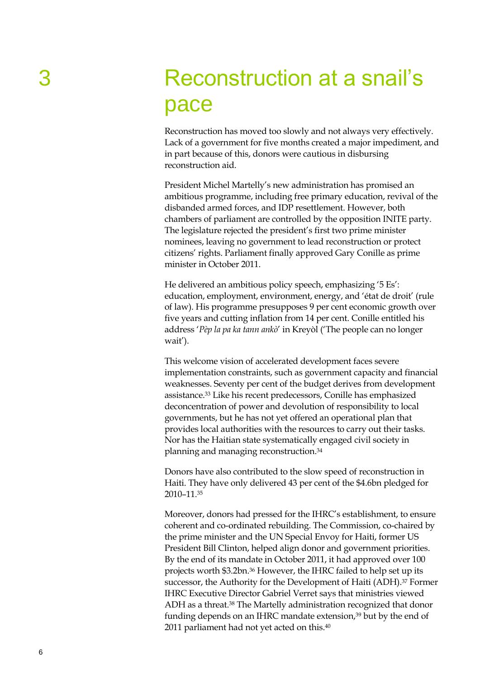## 3 Reconstruction at a snail"s pace

Reconstruction has moved too slowly and not always very effectively. Lack of a government for five months created a major impediment, and in part because of this, donors were cautious in disbursing reconstruction aid.

President Michel Martelly's new administration has promised an ambitious programme, including free primary education, revival of the disbanded armed forces, and IDP resettlement. However, both chambers of parliament are controlled by the opposition INITE party. The legislature rejected the president's first two prime minister nominees, leaving no government to lead reconstruction or protect citizens' rights. Parliament finally approved Gary Conille as prime minister in October 2011.

He delivered an ambitious policy speech, emphasizing '5 Es': education, employment, environment, energy, and 'état de droit' (rule of law). His programme presupposes 9 per cent economic growth over five years and cutting inflation from 14 per cent. Conille entitled his address '*Pèp la pa ka tann ankò*' in Kreyòl ('The people can no longer wait').

This welcome vision of accelerated development faces severe implementation constraints, such as government capacity and financial weaknesses. Seventy per cent of the budget derives from development assistance.<sup>33</sup> Like his recent predecessors, Conille has emphasized deconcentration of power and devolution of responsibility to local governments, but he has not yet offered an operational plan that provides local authorities with the resources to carry out their tasks. Nor has the Haitian state systematically engaged civil society in planning and managing reconstruction. 34

Donors have also contributed to the slow speed of reconstruction in Haiti. They have only delivered 43 per cent of the \$4.6bn pledged for 2010–11.<sup>35</sup>

Moreover, donors had pressed for the IHRC's establishment, to ensure coherent and co-ordinated rebuilding. The Commission, co-chaired by the prime minister and the UN Special Envoy for Haiti, former US President Bill Clinton, helped align donor and government priorities. By the end of its mandate in October 2011, it had approved over 100 projects worth \$3.2bn. <sup>36</sup> However, the IHRC failed to help set up its successor, the Authority for the Development of Haiti (ADH).<sup>37</sup> Former IHRC Executive Director Gabriel Verret says that ministries viewed ADH as a threat.<sup>38</sup> The Martelly administration recognized that donor funding depends on an IHRC mandate extension, <sup>39</sup> but by the end of 2011 parliament had not yet acted on this.<sup>40</sup>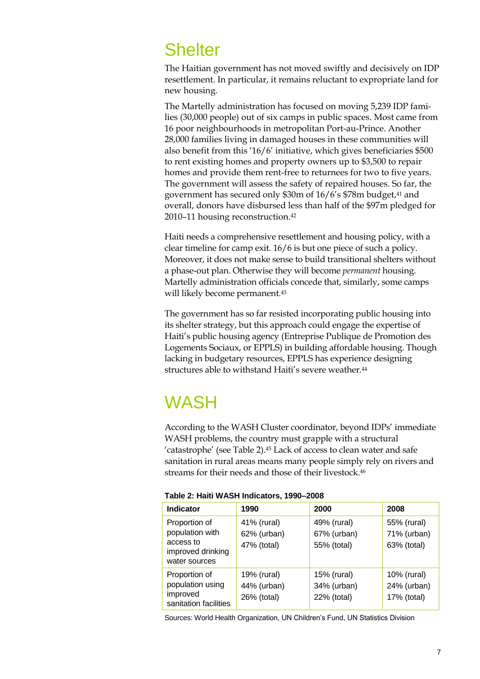### **Shelter**

The Haitian government has not moved swiftly and decisively on IDP resettlement. In particular, it remains reluctant to expropriate land for new housing.

The Martelly administration has focused on moving 5,239 IDP families (30,000 people) out of six camps in public spaces. Most came from 16 poor neighbourhoods in metropolitan Port-au-Prince. Another 28,000 families living in damaged houses in these communities will also benefit from this '16/6' initiative, which gives beneficiaries \$500 to rent existing homes and property owners up to \$3,500 to repair homes and provide them rent-free to returnees for two to five years. The government will assess the safety of repaired houses. So far, the government has secured only \$30m of 16/6's \$78m budget, <sup>41</sup> and overall, donors have disbursed less than half of the \$97m pledged for 2010–11 housing reconstruction.<sup>42</sup>

Haiti needs a comprehensive resettlement and housing policy, with a clear timeline for camp exit. 16/6 is but one piece of such a policy. Moreover, it does not make sense to build transitional shelters without a phase-out plan. Otherwise they will become *permanent* housing. Martelly administration officials concede that, similarly, some camps will likely become permanent.<sup>43</sup>

The government has so far resisted incorporating public housing into its shelter strategy, but this approach could engage the expertise of Haiti's public housing agency (Entreprise Publique de Promotion des Logements Sociaux, or EPPLS) in building affordable housing. Though lacking in budgetary resources, EPPLS has experience designing structures able to withstand Haiti's severe weather.<sup>44</sup>

## **WASH**

According to the WASH Cluster coordinator, beyond IDPs' immediate WASH problems, the country must grapple with a structural 'catastrophe' (see Table 2).<sup>45</sup> Lack of access to clean water and safe sanitation in rural areas means many people simply rely on rivers and streams for their needs and those of their livestock.<sup>46</sup>

| Table 2: Haiti WASH Indicators, 1990-2008 |  |
|-------------------------------------------|--|
|                                           |  |

| <b>Indicator</b>                                                                    | 1990                                      | 2000                                      | 2008                                      |
|-------------------------------------------------------------------------------------|-------------------------------------------|-------------------------------------------|-------------------------------------------|
| Proportion of<br>population with<br>access to<br>improved drinking<br>water sources | 41% (rural)<br>62% (urban)<br>47% (total) | 49% (rural)<br>67% (urban)<br>55% (total) | 55% (rural)<br>71% (urban)<br>63% (total) |
| Proportion of<br>population using<br>improved<br>sanitation facilities              | 19% (rural)<br>44% (urban)<br>26% (total) | 15% (rural)<br>34% (urban)<br>22% (total) | 10% (rural)<br>24% (urban)<br>17% (total) |

Sources: World Health Organization, UN Children"s Fund, UN Statistics Division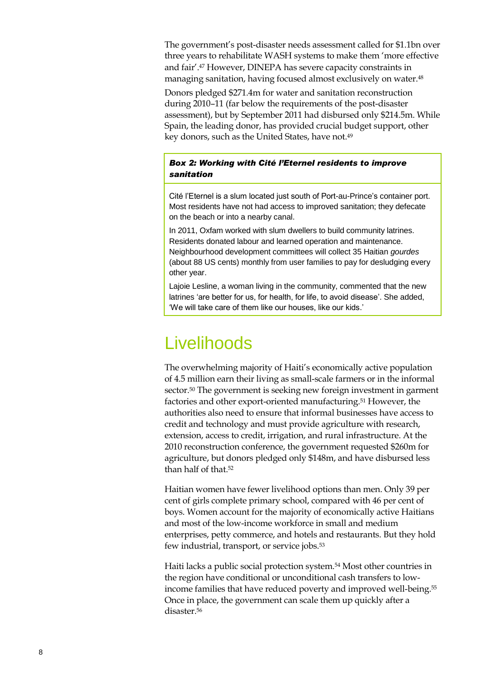The government's post-disaster needs assessment called for \$1.1bn over three years to rehabilitate WASH systems to make them 'more effective and fair'.<sup>47</sup> However, DINEPA has severe capacity constraints in managing sanitation, having focused almost exclusively on water.<sup>48</sup>

Donors pledged \$271.4m for water and sanitation reconstruction during 2010–11 (far below the requirements of the post-disaster assessment), but by September 2011 had disbursed only \$214.5m. While Spain, the leading donor, has provided crucial budget support, other key donors, such as the United States, have not.<sup>49</sup>

#### *Box 2: Working with Cité l'Eternel residents to improve sanitation*

Cité l"Eternel is a slum located just south of Port-au-Prince"s container port. Most residents have not had access to improved sanitation; they defecate on the beach or into a nearby canal.

In 2011, Oxfam worked with slum dwellers to build community latrines. Residents donated labour and learned operation and maintenance. Neighbourhood development committees will collect 35 Haitian *gourdes*  (about 88 US cents) monthly from user families to pay for desludging every other year.

Lajoie Lesline, a woman living in the community, commented that the new latrines 'are better for us, for health, for life, to avoid disease'. She added, "We will take care of them like our houses, like our kids."

### **Livelihoods**

The overwhelming majority of Haiti's economically active population of 4.5 million earn their living as small-scale farmers or in the informal sector.<sup>50</sup> The government is seeking new foreign investment in garment factories and other export-oriented manufacturing.<sup>51</sup> However, the authorities also need to ensure that informal businesses have access to credit and technology and must provide agriculture with research, extension, access to credit, irrigation, and rural infrastructure. At the 2010 reconstruction conference, the government requested \$260m for agriculture, but donors pledged only \$148m, and have disbursed less than half of that. 52

Haitian women have fewer livelihood options than men. Only 39 per cent of girls complete primary school, compared with 46 per cent of boys. Women account for the majority of economically active Haitians and most of the low-income workforce in small and medium enterprises, petty commerce, and hotels and restaurants. But they hold few industrial, transport, or service jobs.<sup>53</sup>

Haiti lacks a public social protection system. <sup>54</sup> Most other countries in the region have conditional or unconditional cash transfers to lowincome families that have reduced poverty and improved well-being.<sup>55</sup> Once in place, the government can scale them up quickly after a disaster.56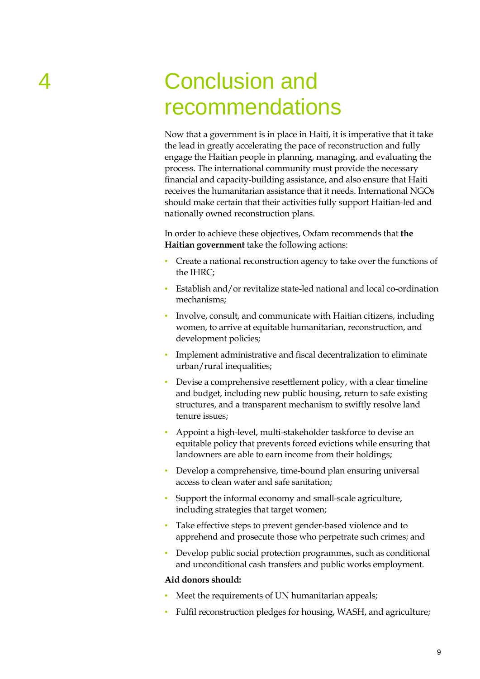# 4 Conclusion and recommendations

Now that a government is in place in Haiti, it is imperative that it take the lead in greatly accelerating the pace of reconstruction and fully engage the Haitian people in planning, managing, and evaluating the process. The international community must provide the necessary financial and capacity-building assistance, and also ensure that Haiti receives the humanitarian assistance that it needs. International NGOs should make certain that their activities fully support Haitian-led and nationally owned reconstruction plans.

In order to achieve these objectives, Oxfam recommends that **the Haitian government** take the following actions:

- Create a national reconstruction agency to take over the functions of the IHRC;
- Establish and/or revitalize state-led national and local co-ordination mechanisms;
- Involve, consult, and communicate with Haitian citizens, including women, to arrive at equitable humanitarian, reconstruction, and development policies;
- Implement administrative and fiscal decentralization to eliminate urban/rural inequalities;
- Devise a comprehensive resettlement policy, with a clear timeline and budget, including new public housing, return to safe existing structures, and a transparent mechanism to swiftly resolve land tenure issues;
- Appoint a high-level, multi-stakeholder taskforce to devise an equitable policy that prevents forced evictions while ensuring that landowners are able to earn income from their holdings;
- Develop a comprehensive, time-bound plan ensuring universal access to clean water and safe sanitation;
- Support the informal economy and small-scale agriculture, including strategies that target women;
- Take effective steps to prevent gender-based violence and to apprehend and prosecute those who perpetrate such crimes; and
- Develop public social protection programmes, such as conditional and unconditional cash transfers and public works employment.

#### **Aid donors should:**

- Meet the requirements of UN humanitarian appeals;
- Fulfil reconstruction pledges for housing, WASH, and agriculture;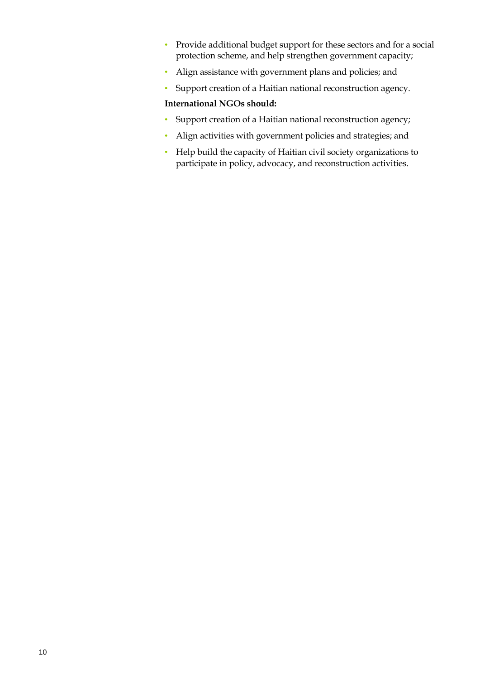- Provide additional budget support for these sectors and for a social protection scheme, and help strengthen government capacity;
- Align assistance with government plans and policies; and
- Support creation of a Haitian national reconstruction agency.

#### **International NGOs should:**

- Support creation of a Haitian national reconstruction agency;
- Align activities with government policies and strategies; and
- Help build the capacity of Haitian civil society organizations to participate in policy, advocacy, and reconstruction activities.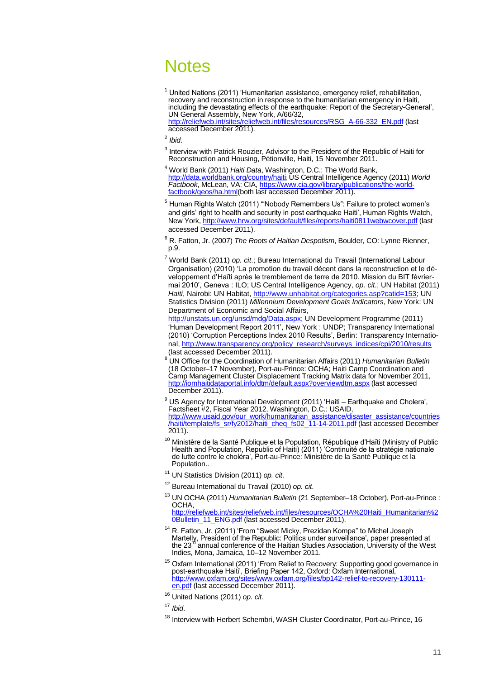### **Notes**

 $1$  United Nations (2011) 'Humanitarian assistance, emergency relief, rehabilitation, recovery and reconstruction in response to the humanitarian emergency in Haiti, including the devastating effects of the earthquake: Report of the Secretary-General", UN General Assembly, New York, A/66/32,

[http://reliefweb.int/sites/reliefweb.int/files/resources/RSG\\_A-66-332\\_EN.pdf](http://reliefweb.int/sites/reliefweb.int/files/resources/RSG_A-66-332_EN.pdf) (last accessed December 2011).

- 2 *Ibid*.
- <sup>3</sup> Interview with Patrick Rouzier, Advisor to the President of the Republic of Haiti for Reconstruction and Housing, Pétionville, Haiti, 15 November 2011.
- <sup>4</sup> World Bank (2011) *Haiti Data*, Washington, D.C.: The World Bank, <http://data.worldbank.org/country/haiti>; US Central Intelligence Agency (2011) *World Factbook*, McLean, VA: CIA, [https://www.cia.gov/library/publications/the-world](https://www.cia.gov/library/publications/the-world-factbook/geos/ha.html)[factbook/geos/ha.html\(](https://www.cia.gov/library/publications/the-world-factbook/geos/ha.html)both last accessed December 2011).
- <sup>5</sup> Human Rights Watch (2011) "Nobody Remembers Us": Failure to protect women's and girls" right to health and security in post earthquake Haiti", Human Rights Watch, New York, <http://www.hrw.org/sites/default/files/reports/haiti0811webwcover.pdf> (last accessed December 2011).
- <sup>6</sup> R. Fatton, Jr. (2007) *The Roots of Haitian Despotism*, Boulder, CO: Lynne Rienner, p.9.
- <sup>7</sup> World Bank (2011) *op. cit*.; Bureau International du Travail (International Labour Organisation) (2010) "La promotion du travail décent dans la reconstruction et le développement d"Haïti après le tremblement de terre de 2010. Mission du BIT févriermai 2010", Geneva : ILO; US Central Intelligence Agency, *op. cit*.; UN Habitat (2011) Haiti, Nairobi: UN Habitat, [http://www.unhabitat.org/categories.asp?catid=153;](http://www.unhabitat.org/categories.asp?catid=153) UN Statistics Division (2011) *Millennium Development Goals Indicators*, New York: UN Department of Economic and Social Affairs,

[http://unstats.un.org/unsd/mdg/Data.aspx;](http://unstats.un.org/unsd/mdg/Data.aspx) UN Development Programme (2011) "Human Development Report 2011", New York : UNDP; Transparency International (2010) "Corruption Perceptions Index 2010 Results", Berlin: Transparency International, [http://www.transparency.org/policy\\_research/surveys\\_indices/cpi/2010/results](http://www.transparency.org/policy_research/surveys_indices/cpi/2010/results) (last accessed December 2011).

- <sup>8</sup> UN Office for the Coordination of Humanitarian Affairs (2011) *Humanitarian Bulletin* (18 October–17 November), Port-au-Prince: OCHA; Haiti Camp Coordination and Camp Management Cluster Displacement Tracking Matrix data for November 2011, <http://iomhaitidataportal.info/dtm/default.aspx?overviewdtm.aspx> (last accessed December 2011).
- $9$  US Agency for International Development (2011) 'Haiti Earthquake and Cholera', Factsheet #2, Fiscal Year 2012, Washington, D.C.: USAID, [http://www.usaid.gov/our\\_work/humanitarian\\_assistance/disaster\\_assistance/countries](http://www.usaid.gov/our_work/humanitarian_assistance/disaster_assistance/countries/haiti/template/fs_sr/fy2012/haiti_cheq_fs02_11-14-2011.pdf) [/haiti/template/fs\\_sr/fy2012/haiti\\_cheq\\_fs02\\_11-14-2011.pdf](http://www.usaid.gov/our_work/humanitarian_assistance/disaster_assistance/countries/haiti/template/fs_sr/fy2012/haiti_cheq_fs02_11-14-2011.pdf) (last accessed December 2011).
- <sup>10</sup> Ministère de la Santé Publique et la Population, République d'Haïti (Ministry of Public Health and Population, Republic of Haiti) (2011) "Continuité de la stratégie nationale de lutte contre le choléra", Port-au-Prince: Ministère de la Santé Publique et la Population..
- <sup>11</sup> UN Statistics Division (2011) *op. cit*.
- <sup>12</sup> Bureau International du Travail (2010) *op. cit*.
- <sup>13</sup> UN OCHA (2011) *Humanitarian Bulletin* (21 September–18 October), Port-au-Prince : OCHA,

[http://reliefweb.int/sites/reliefweb.int/files/resources/OCHA%20Haiti\\_Humanitarian%2](http://reliefweb.int/sites/reliefweb.int/files/resources/OCHA%20Haiti_Humanitarian%20Bulletin_11_ENG.pdf) OBulletin\_11\_ENG.pdf (last accessed December 2011).

- <sup>14</sup> R. Fatton, Jr. (2011) 'From "Sweet Micky, Prezidan Kompa" to Michel Joseph Martelly, President of the Republic: Politics under surveillance', paper presented at<br>the 23<sup>rd</sup> annual conference of the Haitian Studies Association, University of the West Indies, Mona, Jamaica, 10–12 November 2011.
- $15$  Oxfam International (2011) 'From Relief to Recovery: Supporting good governance in post-earthquake Haiti", Briefing Paper 142, Oxford: Oxfam International, [http://www.oxfam.org/sites/www.oxfam.org/files/bp142-relief-to-recovery-130111](http://www.oxfam.org/sites/www.oxfam.org/files/bp142-relief-to-recovery-130111-en.pdf) [en.pdf](http://www.oxfam.org/sites/www.oxfam.org/files/bp142-relief-to-recovery-130111-en.pdf) (last accessed December 2011).

<sup>16</sup> United Nations (2011) *op. cit.*

<sup>17</sup> *Ibid*.

<sup>18</sup> Interview with Herbert Schembri, WASH Cluster Coordinator, Port-au-Prince, 16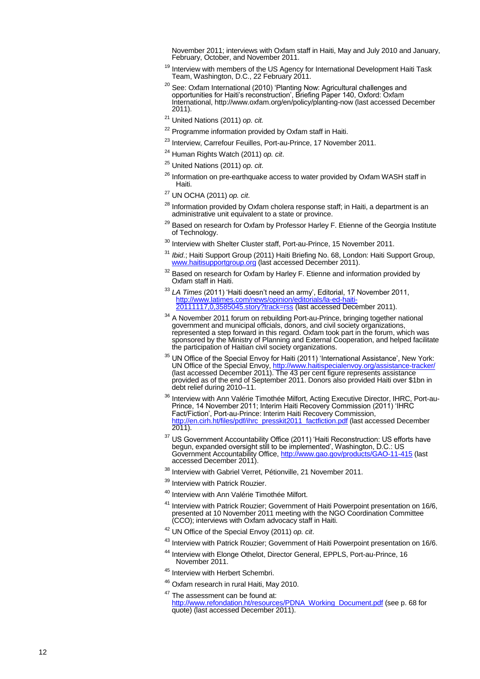November 2011; interviews with Oxfam staff in Haiti, May and July 2010 and January, February, October, and November 2011.

- <sup>19</sup> Interview with members of the US Agency for International Development Haiti Task Team, Washington, D.C., 22 February 2011.
- <sup>20</sup> See: Oxfam International (2010) 'Planting Now: Agricultural challenges and opportunities for Haiti"s reconstruction", Briefing Paper 140, Oxford: Oxfam International, http://www.oxfam.org/en/policy/planting -now (last accessed December 2011) .
- <sup>21</sup> United Nations (2011) *op. cit.*
- <sup>22</sup> Programme information provided by Oxfam staff in Haiti.
- <sup>23</sup> Interview, Carrefour Feuilles, Port-au-Prince, 17 November 2011.
- <sup>24</sup> Human Rights Watch (2011) *op. cit*.
- <sup>25</sup> United Nations (2011) *op. cit*.
- <sup>26</sup> Information on pre-earthquake access to water provided by Oxfam WASH staff in Haiti.
- <sup>27</sup> UN OCHA (2011) *op. cit*.
- $^{28}$  Information provided by Oxfam cholera response staff; in Haiti, a department is an administrative unit equivalent to a state or province.
- <sup>29</sup> Based on research for Oxfam by Professor Harley F. Etienne of the Georgia Institute of Technology.
- <sup>30</sup> Interview with Shelter Cluster staff, Port-au-Prince, 15 November 2011.
- <sup>31</sup> Ibid.; Haiti Support Group (2011) Haiti Briefing No. 68, London: Haiti Support Group, [www.haitisupportgroup.org](http://www.haitisupportgroup.org/) (last accessed December 2011).
- $32$  Based on research for Oxfam by Harley F. Etienne and information provided by Oxfam staff in Haiti.
- <sup>33</sup> LA Times (2011) 'Haiti doesn't need an army', Editorial, 17 November 2011, [http://www.latimes.com/news/opinion/editorials/la](http://www.latimes.com/news/opinion/editorials/la-ed-haiti-20111117,0,3585045.story?track=rss)-ed-haiti-[20111117,0,3585045.story?track=rss](http://www.latimes.com/news/opinion/editorials/la-ed-haiti-20111117,0,3585045.story?track=rss) (last accessed December 2011).
- <sup>34</sup> A November 2011 forum on rebuilding Port-au-Prince, bringing together national government and municipal officials, donors, and civil society organizations, represented a step forward in this regard. Oxfam took part in the forum, which was sponsored by the Ministry of Planning and External Cooperation, and helped facilitate the participation of Haitian civil society organizations.
- <sup>35</sup> UN Office of the Special Envoy for Haiti (2011) 'International Assistance', New York: UN Office of the Special Envoy, [http://www.haitispecialenvoy.org/assistance](http://www.haitispecialenvoy.org/assistance-tracker/)-tracker/ (last accessed December 2011). The 43 per cent figure represents assistance provided as of the end of September 2011. Donors also provided Haiti over \$1bn in debt relief during 2010 –11.
- <sup>36</sup> Interview with Ann Valérie Timothée Milfort, Acting Executive Director, IHRC, Port-au-Prince, 14 November 2011; Interim Haiti Recovery Commission (2011) "IHRC Fact/Fiction', Port-au-Prince: Interim Haiti Recovery Commission, [http://en.cirh.ht/files/pdf/ihrc\\_presskit2011\\_factfiction.pdf](http://en.cirh.ht/files/pdf/ihrc_presskit2011_factfiction.pdf) (last accessed December 2011) .
- $37$  US Government Accountability Office (2011) 'Haiti Reconstruction: US efforts have begun, expanded oversight still to be implemented", Washington, D.C.: US Government Accountability Office[, http://www.gao.gov/products/GAO](http://www.gao.gov/products/GAO-11-415)-11-415 (last accessed December 2011).
- <sup>38</sup> Interview with Gabriel Verret, Pétionville, 21 November 2011.
- <sup>39</sup> Interview with Patrick Rouzier.
- <sup>40</sup> Interview with Ann Valérie Timothée Milfort.
- <sup>41</sup> Interview with Patrick Rouzier; Government of Haiti Powerpoint presentation on 16/6, presented at 10 November 2011 meeting with the NGO Coordination Committee (CCO); interviews with Oxfam advocacy staff in Haiti.
- <sup>42</sup> UN Office of the Special Envoy (2011) *op. cit*.
- <sup>43</sup> Interview with Patrick Rouzier; Government of Haiti Powerpoint presentation on 16/6.
- <sup>44</sup> Interview with Elonge Othelot, Director General, EPPLS, Port-au-Prince, 16 November 2011.
- 45 Interview with Herbert Schembri.
- <sup>46</sup> Oxfam research in rural Haiti, May 2010.
- <sup>47</sup> The assessment can be found at: [http://www.refondation.ht/resources/PDNA\\_Working\\_Document.pdf](http://www.refondation.ht/resources/PDNA_Working_Document.pdf) (see p. 68 for quote) (last accessed December 2011) .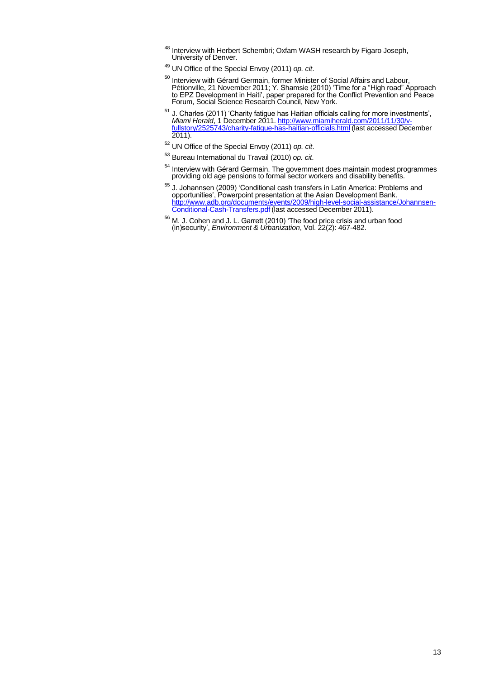- <sup>48</sup> Interview with Herbert Schembri; Oxfam WASH research by Figaro Joseph, University of Denver.
- <sup>49</sup> UN Office of the Special Envoy (2011) *op. cit*.
- <sup>50</sup> Interview with Gérard Germain, former Minister of Social Affairs and Labour, Pétionville, 21 November 2011; Y. Shamsie (2010) "Time for a "High road" Approach to EPZ Development in Haiti", paper prepared for the Conflict Prevention and Peace Forum, Social Science Research Council, New York.
- $51$  J. Charles (2011) 'Charity fatigue has Haitian officials calling for more investments', *Miami Herald*, 1 December 2011[. http://www.miamiherald.com/2011/11/30/v](http://www.miamiherald.com/2011/11/30/v-fullstory/2525743/charity-fatigue-has-haitian-officials.html)[fullstory/2525743/charity-fatigue-has-haitian-officials.html](http://www.miamiherald.com/2011/11/30/v-fullstory/2525743/charity-fatigue-has-haitian-officials.html) (last accessed December 2011).
- <sup>52</sup> UN Office of the Special Envoy (2011) *op. cit*.
- <sup>53</sup> Bureau International du Travail (2010) *op. cit*.
- $54$  Interview with Gérard Germain. The government does maintain modest programmes providing old age pensions to formal sector workers and disability benefits.
- <sup>55</sup> J. Johannsen (2009) 'Conditional cash transfers in Latin America: Problems and opportunities", Powerpoint presentation at the Asian Development Bank. [http://www.adb.org/documents/events/2009/high-level-social-assistance/Johannsen-](http://www.adb.org/documents/events/2009/high-level-social-assistance/Johannsen-Conditional-Cash-Transfers.pdf)[Conditional-Cash-Transfers.pdf](http://www.adb.org/documents/events/2009/high-level-social-assistance/Johannsen-Conditional-Cash-Transfers.pdf) (last accessed December 2011).
- <sup>56</sup> M. J. Cohen and J. L. Garrett (2010) 'The food price crisis and urban food (in)security", *Environment & Urbanization*, Vol. 22(2): 467-482.